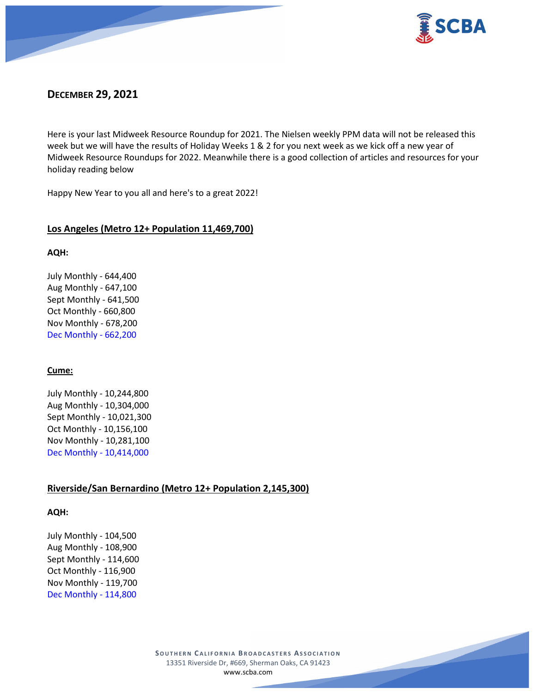



# **DECEMBER 29, 2021**

Here is your last Midweek Resource Roundup for 2021. The Nielsen weekly PPM data will not be released this week but we will have the results of Holiday Weeks 1 & 2 for you next week as we kick off a new year of Midweek Resource Roundups for 2022. Meanwhile there is a good collection of articles and resources for your holiday reading below

Happy New Year to you all and here's to a great 2022!

## **Los Angeles (Metro 12+ Population 11,469,700)**

### **AQH:**

July Monthly - 644,400 Aug Monthly - 647,100 Sept Monthly - 641,500 Oct Monthly - 660,800 Nov Monthly - 678,200 Dec Monthly - 662,200

## **Cume:**

July Monthly - 10,244,800 Aug Monthly - 10,304,000 Sept Monthly - 10,021,300 Oct Monthly - 10,156,100 Nov Monthly - 10,281,100 Dec Monthly - 10,414,000

# **Riverside/San Bernardino (Metro 12+ Population 2,145,300)**

## **AQH:**

July Monthly - 104,500 Aug Monthly - 108,900 Sept Monthly - 114,600 Oct Monthly - 116,900 Nov Monthly - 119,700 Dec Monthly - 114,800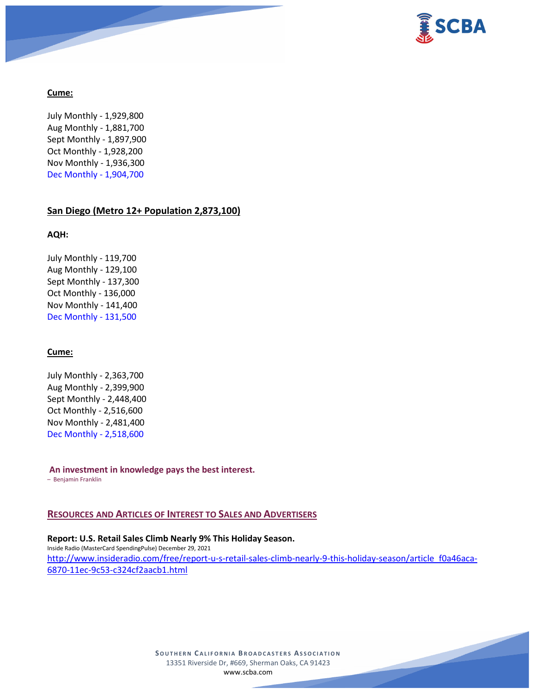

## **Cume:**

July Monthly - 1,929,800 Aug Monthly - 1,881,700 Sept Monthly - 1,897,900 Oct Monthly - 1,928,200 Nov Monthly - 1,936,300 Dec Monthly - 1,904,700

#### **San Diego (Metro 12+ Population 2,873,100)**

#### **AQH:**

July Monthly - 119,700 Aug Monthly - 129,100 Sept Monthly - 137,300 Oct Monthly - 136,000 Nov Monthly - 141,400 Dec Monthly - 131,500

## **Cume:**

July Monthly - 2,363,700 Aug Monthly - 2,399,900 Sept Monthly - 2,448,400 Oct Monthly - 2,516,600 Nov Monthly - 2,481,400 Dec Monthly - 2,518,600

**An investment in knowledge pays the best interest.**

– Benjamin Franklin

### **RESOURCES AND ARTICLES OF INTEREST TO SALES AND ADVERTISERS**

**Report: U.S. Retail Sales Climb Nearly 9% This Holiday Season.** Inside Radio (MasterCard SpendingPulse) December 29, 2021 [http://www.insideradio.com/free/report-u-s-retail-sales-climb-nearly-9-this-holiday-season/article\\_f0a46aca-](http://www.insideradio.com/free/report-u-s-retail-sales-climb-nearly-9-this-holiday-season/article_f0a46aca-6870-11ec-9c53-c324cf2aacb1.html)[6870-11ec-9c53-c324cf2aacb1.html](http://www.insideradio.com/free/report-u-s-retail-sales-climb-nearly-9-this-holiday-season/article_f0a46aca-6870-11ec-9c53-c324cf2aacb1.html)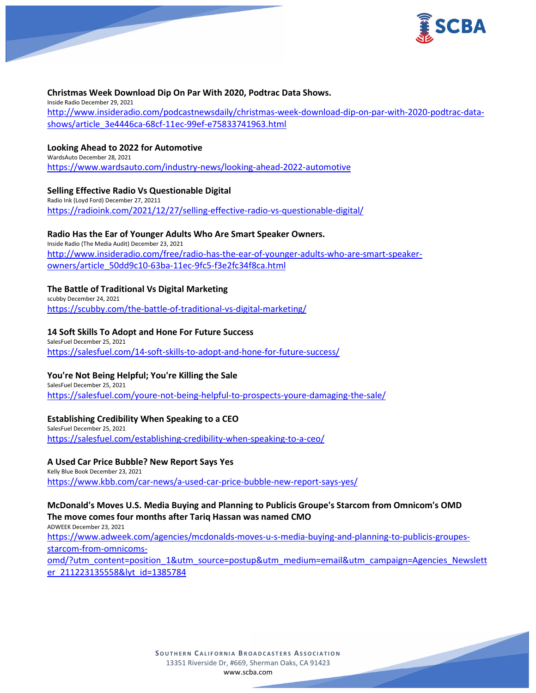

### **Christmas Week Download Dip On Par With 2020, Podtrac Data Shows.**

Inside Radio December 29, 2021 [http://www.insideradio.com/podcastnewsdaily/christmas-week-download-dip-on-par-with-2020-podtrac-data](http://www.insideradio.com/podcastnewsdaily/christmas-week-download-dip-on-par-with-2020-podtrac-data-shows/article_3e4446ca-68cf-11ec-99ef-e75833741963.html)[shows/article\\_3e4446ca-68cf-11ec-99ef-e75833741963.html](http://www.insideradio.com/podcastnewsdaily/christmas-week-download-dip-on-par-with-2020-podtrac-data-shows/article_3e4446ca-68cf-11ec-99ef-e75833741963.html)

### **Looking Ahead to 2022 for Automotive** WardsAuto December 28, 2021

<https://www.wardsauto.com/industry-news/looking-ahead-2022-automotive>

## **Selling Effective Radio Vs Questionable Digital**

Radio Ink (Loyd Ford) December 27, 20211 <https://radioink.com/2021/12/27/selling-effective-radio-vs-questionable-digital/>

### **Radio Has the Ear of Younger Adults Who Are Smart Speaker Owners.**

Inside Radio (The Media Audit) December 23, 2021 [http://www.insideradio.com/free/radio-has-the-ear-of-younger-adults-who-are-smart-speaker](http://www.insideradio.com/free/radio-has-the-ear-of-younger-adults-who-are-smart-speaker-owners/article_50dd9c10-63ba-11ec-9fc5-f3e2fc34f8ca.html)[owners/article\\_50dd9c10-63ba-11ec-9fc5-f3e2fc34f8ca.html](http://www.insideradio.com/free/radio-has-the-ear-of-younger-adults-who-are-smart-speaker-owners/article_50dd9c10-63ba-11ec-9fc5-f3e2fc34f8ca.html)

## **The Battle of Traditional Vs Digital Marketing**

scubby December 24, 2021 <https://scubby.com/the-battle-of-traditional-vs-digital-marketing/>

## **14 Soft Skills To Adopt and Hone For Future Success**

SalesFuel December 25, 2021 <https://salesfuel.com/14-soft-skills-to-adopt-and-hone-for-future-success/>

## **You're Not Being Helpful; You're Killing the Sale**

SalesFuel December 25, 2021 <https://salesfuel.com/youre-not-being-helpful-to-prospects-youre-damaging-the-sale/>

## **Establishing Credibility When Speaking to a CEO**

SalesFuel December 25, 2021 <https://salesfuel.com/establishing-credibility-when-speaking-to-a-ceo/>

#### **A Used Car Price Bubble? New Report Says Yes**

Kelly Blue Book December 23, 2021 <https://www.kbb.com/car-news/a-used-car-price-bubble-new-report-says-yes/>

# **McDonald's Moves U.S. Media Buying and Planning to Publicis Groupe's Starcom from Omnicom's OMD The move comes four months after Tariq Hassan was named CMO**

ADWEEK December 23, 2021 [https://www.adweek.com/agencies/mcdonalds-moves-u-s-media-buying-and-planning-to-publicis-groupes](https://www.adweek.com/agencies/mcdonalds-moves-u-s-media-buying-and-planning-to-publicis-groupes-starcom-from-omnicoms-omd/?utm_content=position_1&utm_source=postup&utm_medium=email&utm_campaign=Agencies_Newsletter_211223135558&lyt_id=1385784)[starcom-from-omnicoms](https://www.adweek.com/agencies/mcdonalds-moves-u-s-media-buying-and-planning-to-publicis-groupes-starcom-from-omnicoms-omd/?utm_content=position_1&utm_source=postup&utm_medium=email&utm_campaign=Agencies_Newsletter_211223135558&lyt_id=1385784)[omd/?utm\\_content=position\\_1&utm\\_source=postup&utm\\_medium=email&utm\\_campaign=Agencies\\_Newslett](https://www.adweek.com/agencies/mcdonalds-moves-u-s-media-buying-and-planning-to-publicis-groupes-starcom-from-omnicoms-omd/?utm_content=position_1&utm_source=postup&utm_medium=email&utm_campaign=Agencies_Newsletter_211223135558&lyt_id=1385784)

[er\\_211223135558&lyt\\_id=1385784](https://www.adweek.com/agencies/mcdonalds-moves-u-s-media-buying-and-planning-to-publicis-groupes-starcom-from-omnicoms-omd/?utm_content=position_1&utm_source=postup&utm_medium=email&utm_campaign=Agencies_Newsletter_211223135558&lyt_id=1385784)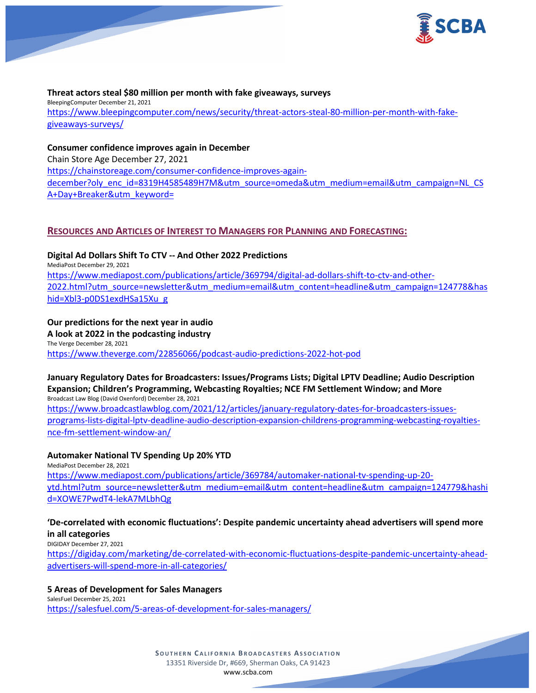

### **Threat actors steal \$80 million per month with fake giveaways, surveys**

BleepingComputer December 21, 2021 [https://www.bleepingcomputer.com/news/security/threat-actors-steal-80-million-per-month-with-fake](https://www.bleepingcomputer.com/news/security/threat-actors-steal-80-million-per-month-with-fake-giveaways-surveys/)[giveaways-surveys/](https://www.bleepingcomputer.com/news/security/threat-actors-steal-80-million-per-month-with-fake-giveaways-surveys/)

### **Consumer confidence improves again in December**

Chain Store Age December 27, 2021 [https://chainstoreage.com/consumer-confidence-improves-again](https://chainstoreage.com/consumer-confidence-improves-again-december?oly_enc_id=8319H4585489H7M&utm_source=omeda&utm_medium=email&utm_campaign=NL_CSA+Day+Breaker&utm_keyword=)[december?oly\\_enc\\_id=8319H4585489H7M&utm\\_source=omeda&utm\\_medium=email&utm\\_campaign=NL\\_CS](https://chainstoreage.com/consumer-confidence-improves-again-december?oly_enc_id=8319H4585489H7M&utm_source=omeda&utm_medium=email&utm_campaign=NL_CSA+Day+Breaker&utm_keyword=) [A+Day+Breaker&utm\\_keyword=](https://chainstoreage.com/consumer-confidence-improves-again-december?oly_enc_id=8319H4585489H7M&utm_source=omeda&utm_medium=email&utm_campaign=NL_CSA+Day+Breaker&utm_keyword=)

# **RESOURCES AND ARTICLES OF INTEREST TO MANAGERS FOR PLANNING AND FORECASTING:**

**Digital Ad Dollars Shift To CTV -- And Other 2022 Predictions** MediaPost December 29, 2021 [https://www.mediapost.com/publications/article/369794/digital-ad-dollars-shift-to-ctv-and-other-](https://www.mediapost.com/publications/article/369794/digital-ad-dollars-shift-to-ctv-and-other-2022.html?utm_source=newsletter&utm_medium=email&utm_content=headline&utm_campaign=124778&hashid=Xbl3-p0DS1exdHSa15Xu_g)[2022.html?utm\\_source=newsletter&utm\\_medium=email&utm\\_content=headline&utm\\_campaign=124778&has](https://www.mediapost.com/publications/article/369794/digital-ad-dollars-shift-to-ctv-and-other-2022.html?utm_source=newsletter&utm_medium=email&utm_content=headline&utm_campaign=124778&hashid=Xbl3-p0DS1exdHSa15Xu_g) [hid=Xbl3-p0DS1exdHSa15Xu\\_g](https://www.mediapost.com/publications/article/369794/digital-ad-dollars-shift-to-ctv-and-other-2022.html?utm_source=newsletter&utm_medium=email&utm_content=headline&utm_campaign=124778&hashid=Xbl3-p0DS1exdHSa15Xu_g)

## **Our predictions for the next year in audio**

**A look at 2022 in the podcasting industry** The Verge December 28, 2021 <https://www.theverge.com/22856066/podcast-audio-predictions-2022-hot-pod>

#### **January Regulatory Dates for Broadcasters: Issues/Programs Lists; Digital LPTV Deadline; Audio Description Expansion; Children's Programming, Webcasting Royalties; NCE FM Settlement Window; and More** Broadcast Law Blog (David Oxenford) December 28, 2021

[https://www.broadcastlawblog.com/2021/12/articles/january-regulatory-dates-for-broadcasters-issues](https://www.broadcastlawblog.com/2021/12/articles/january-regulatory-dates-for-broadcasters-issues-programs-lists-digital-lptv-deadline-audio-description-expansion-childrens-programming-webcasting-royalties-nce-fm-settlement-window-an/)[programs-lists-digital-lptv-deadline-audio-description-expansion-childrens-programming-webcasting-royalties](https://www.broadcastlawblog.com/2021/12/articles/january-regulatory-dates-for-broadcasters-issues-programs-lists-digital-lptv-deadline-audio-description-expansion-childrens-programming-webcasting-royalties-nce-fm-settlement-window-an/)[nce-fm-settlement-window-an/](https://www.broadcastlawblog.com/2021/12/articles/january-regulatory-dates-for-broadcasters-issues-programs-lists-digital-lptv-deadline-audio-description-expansion-childrens-programming-webcasting-royalties-nce-fm-settlement-window-an/)

## **Automaker National TV Spending Up 20% YTD**

MediaPost December 28, 2021 [https://www.mediapost.com/publications/article/369784/automaker-national-tv-spending-up-20](https://www.mediapost.com/publications/article/369784/automaker-national-tv-spending-up-20-ytd.html?utm_source=newsletter&utm_medium=email&utm_content=headline&utm_campaign=124779&hashid=XOWE7PwdT4-lekA7MLbhQg) [ytd.html?utm\\_source=newsletter&utm\\_medium=email&utm\\_content=headline&utm\\_campaign=124779&hashi](https://www.mediapost.com/publications/article/369784/automaker-national-tv-spending-up-20-ytd.html?utm_source=newsletter&utm_medium=email&utm_content=headline&utm_campaign=124779&hashid=XOWE7PwdT4-lekA7MLbhQg) [d=XOWE7PwdT4-lekA7MLbhQg](https://www.mediapost.com/publications/article/369784/automaker-national-tv-spending-up-20-ytd.html?utm_source=newsletter&utm_medium=email&utm_content=headline&utm_campaign=124779&hashid=XOWE7PwdT4-lekA7MLbhQg)

### **'De-correlated with economic fluctuations': Despite pandemic uncertainty ahead advertisers will spend more in all categories**

DIGIDAY December 27, 2021

[https://digiday.com/marketing/de-correlated-with-economic-fluctuations-despite-pandemic-uncertainty-ahead](https://digiday.com/marketing/de-correlated-with-economic-fluctuations-despite-pandemic-uncertainty-ahead-advertisers-will-spend-more-in-all-categories/)[advertisers-will-spend-more-in-all-categories/](https://digiday.com/marketing/de-correlated-with-economic-fluctuations-despite-pandemic-uncertainty-ahead-advertisers-will-spend-more-in-all-categories/)

## **5 Areas of Development for Sales Managers**

SalesFuel December 25, 2021 <https://salesfuel.com/5-areas-of-development-for-sales-managers/>

> **SOUTHERN C ALIFORNIA B ROADCASTERS ASSOCIATION** 13351 Riverside Dr, #669, Sherman Oaks, CA 91423 [www.scba.com](http://www.scba.com/)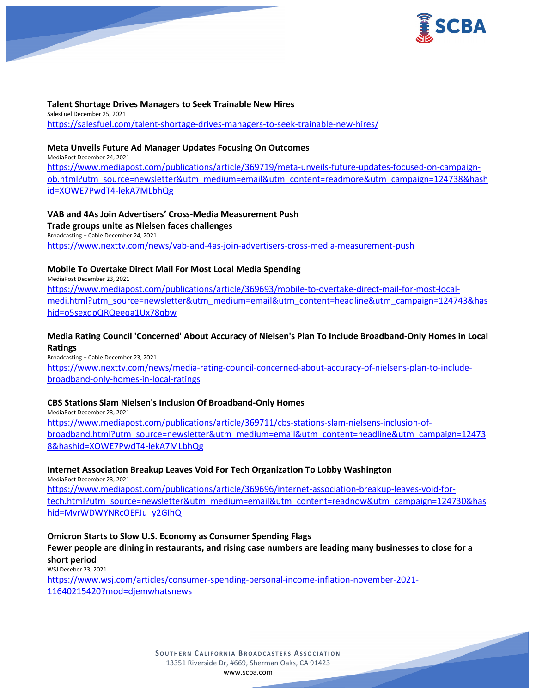

**Talent Shortage Drives Managers to Seek Trainable New Hires** SalesFuel December 25, 2021 <https://salesfuel.com/talent-shortage-drives-managers-to-seek-trainable-new-hires/>

### **Meta Unveils Future Ad Manager Updates Focusing On Outcomes**

MediaPost December 24, 2021 [https://www.mediapost.com/publications/article/369719/meta-unveils-future-updates-focused-on-campaign](https://www.mediapost.com/publications/article/369719/meta-unveils-future-updates-focused-on-campaign-ob.html?utm_source=newsletter&utm_medium=email&utm_content=readmore&utm_campaign=124738&hashid=XOWE7PwdT4-lekA7MLbhQg)[ob.html?utm\\_source=newsletter&utm\\_medium=email&utm\\_content=readmore&utm\\_campaign=124738&hash](https://www.mediapost.com/publications/article/369719/meta-unveils-future-updates-focused-on-campaign-ob.html?utm_source=newsletter&utm_medium=email&utm_content=readmore&utm_campaign=124738&hashid=XOWE7PwdT4-lekA7MLbhQg) [id=XOWE7PwdT4-lekA7MLbhQg](https://www.mediapost.com/publications/article/369719/meta-unveils-future-updates-focused-on-campaign-ob.html?utm_source=newsletter&utm_medium=email&utm_content=readmore&utm_campaign=124738&hashid=XOWE7PwdT4-lekA7MLbhQg)

### **VAB and 4As Join Advertisers' Cross-Media Measurement Push Trade groups unite as Nielsen faces challenges** Broadcasting + Cable December 24, 2021 <https://www.nexttv.com/news/vab-and-4as-join-advertisers-cross-media-measurement-push>

## **Mobile To Overtake Direct Mail For Most Local Media Spending**

MediaPost December 23, 2021 [https://www.mediapost.com/publications/article/369693/mobile-to-overtake-direct-mail-for-most-local](https://www.mediapost.com/publications/article/369693/mobile-to-overtake-direct-mail-for-most-local-medi.html?utm_source=newsletter&utm_medium=email&utm_content=headline&utm_campaign=124743&hashid=o5sexdpQRQeeqa1Ux78qbw)[medi.html?utm\\_source=newsletter&utm\\_medium=email&utm\\_content=headline&utm\\_campaign=124743&has](https://www.mediapost.com/publications/article/369693/mobile-to-overtake-direct-mail-for-most-local-medi.html?utm_source=newsletter&utm_medium=email&utm_content=headline&utm_campaign=124743&hashid=o5sexdpQRQeeqa1Ux78qbw) [hid=o5sexdpQRQeeqa1Ux78qbw](https://www.mediapost.com/publications/article/369693/mobile-to-overtake-direct-mail-for-most-local-medi.html?utm_source=newsletter&utm_medium=email&utm_content=headline&utm_campaign=124743&hashid=o5sexdpQRQeeqa1Ux78qbw)

# **Media Rating Council 'Concerned' About Accuracy of Nielsen's Plan To Include Broadband-Only Homes in Local Ratings**

Broadcasting + Cable December 23, 2021 [https://www.nexttv.com/news/media-rating-council-concerned-about-accuracy-of-nielsens-plan-to-include](https://www.nexttv.com/news/media-rating-council-concerned-about-accuracy-of-nielsens-plan-to-include-broadband-only-homes-in-local-ratings)[broadband-only-homes-in-local-ratings](https://www.nexttv.com/news/media-rating-council-concerned-about-accuracy-of-nielsens-plan-to-include-broadband-only-homes-in-local-ratings)

## **CBS Stations Slam Nielsen's Inclusion Of Broadband-Only Homes**

MediaPost December 23, 2021

[https://www.mediapost.com/publications/article/369711/cbs-stations-slam-nielsens-inclusion-of](https://www.mediapost.com/publications/article/369711/cbs-stations-slam-nielsens-inclusion-of-broadband.html?utm_source=newsletter&utm_medium=email&utm_content=headline&utm_campaign=124738&hashid=XOWE7PwdT4-lekA7MLbhQg)[broadband.html?utm\\_source=newsletter&utm\\_medium=email&utm\\_content=headline&utm\\_campaign=12473](https://www.mediapost.com/publications/article/369711/cbs-stations-slam-nielsens-inclusion-of-broadband.html?utm_source=newsletter&utm_medium=email&utm_content=headline&utm_campaign=124738&hashid=XOWE7PwdT4-lekA7MLbhQg) [8&hashid=XOWE7PwdT4-lekA7MLbhQg](https://www.mediapost.com/publications/article/369711/cbs-stations-slam-nielsens-inclusion-of-broadband.html?utm_source=newsletter&utm_medium=email&utm_content=headline&utm_campaign=124738&hashid=XOWE7PwdT4-lekA7MLbhQg)

## **Internet Association Breakup Leaves Void For Tech Organization To Lobby Washington**

MediaPost December 23, 2021

[https://www.mediapost.com/publications/article/369696/internet-association-breakup-leaves-void-for](https://www.mediapost.com/publications/article/369696/internet-association-breakup-leaves-void-for-tech.html?utm_source=newsletter&utm_medium=email&utm_content=readnow&utm_campaign=124730&hashid=MvrWDWYNRcOEFJu_y2GIhQ)[tech.html?utm\\_source=newsletter&utm\\_medium=email&utm\\_content=readnow&utm\\_campaign=124730&has](https://www.mediapost.com/publications/article/369696/internet-association-breakup-leaves-void-for-tech.html?utm_source=newsletter&utm_medium=email&utm_content=readnow&utm_campaign=124730&hashid=MvrWDWYNRcOEFJu_y2GIhQ) [hid=MvrWDWYNRcOEFJu\\_y2GIhQ](https://www.mediapost.com/publications/article/369696/internet-association-breakup-leaves-void-for-tech.html?utm_source=newsletter&utm_medium=email&utm_content=readnow&utm_campaign=124730&hashid=MvrWDWYNRcOEFJu_y2GIhQ)

## **Omicron Starts to Slow U.S. Economy as Consumer Spending Flags**

# **Fewer people are dining in restaurants, and rising case numbers are leading many businesses to close for a short period**

WSJ Deceber 23, 2021

[https://www.wsj.com/articles/consumer-spending-personal-income-inflation-november-2021-](https://www.wsj.com/articles/consumer-spending-personal-income-inflation-november-2021-11640215420?mod=djemwhatsnews) [11640215420?mod=djemwhatsnews](https://www.wsj.com/articles/consumer-spending-personal-income-inflation-november-2021-11640215420?mod=djemwhatsnews)